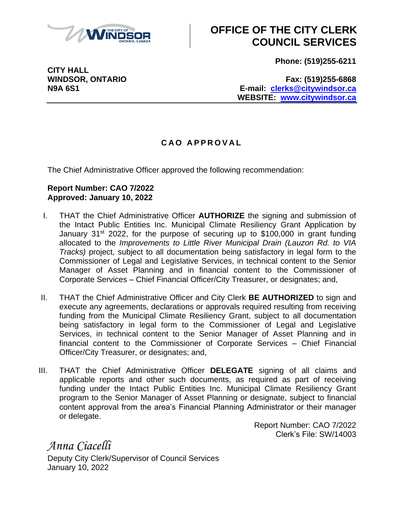

## **OFFICE OF THE CITY CLERK COUNCIL SERVICES**

**Phone: (519)255-6211**

**CITY HALL**

**WINDSOR, ONTARIO Fax: (519)255-6868 N9A 6S1 E-mail: [clerks@citywindsor.ca](mailto:clerks@citywindsor.ca) WEBSITE: [www.citywindsor.ca](http://www.citywindsor.ca/)**

## **C A O A P P R O V A L**

The Chief Administrative Officer approved the following recommendation:

## **Report Number: CAO 7/2022 Approved: January 10, 2022**

- I. THAT the Chief Administrative Officer **AUTHORIZE** the signing and submission of the Intact Public Entities Inc. Municipal Climate Resiliency Grant Application by January  $31^{st}$  2022, for the purpose of securing up to \$100,000 in grant funding allocated to the *Improvements to Little River Municipal Drain (Lauzon Rd. to VIA Tracks)* project, subject to all documentation being satisfactory in legal form to the Commissioner of Legal and Legislative Services, in technical content to the Senior Manager of Asset Planning and in financial content to the Commissioner of Corporate Services – Chief Financial Officer/City Treasurer, or designates; and,
- II. THAT the Chief Administrative Officer and City Clerk **BE AUTHORIZED** to sign and execute any agreements, declarations or approvals required resulting from receiving funding from the Municipal Climate Resiliency Grant, subject to all documentation being satisfactory in legal form to the Commissioner of Legal and Legislative Services, in technical content to the Senior Manager of Asset Planning and in financial content to the Commissioner of Corporate Services – Chief Financial Officer/City Treasurer, or designates; and,
- III. THAT the Chief Administrative Officer **DELEGATE** signing of all claims and applicable reports and other such documents, as required as part of receiving funding under the Intact Public Entities Inc. Municipal Climate Resiliency Grant program to the Senior Manager of Asset Planning or designate, subject to financial content approval from the area's Financial Planning Administrator or their manager or delegate.

Report Number: CAO 7/2022 Clerk's File: SW/14003

*Anna Ciacelli* Deputy City Clerk/Supervisor of Council Services January 10, 2022